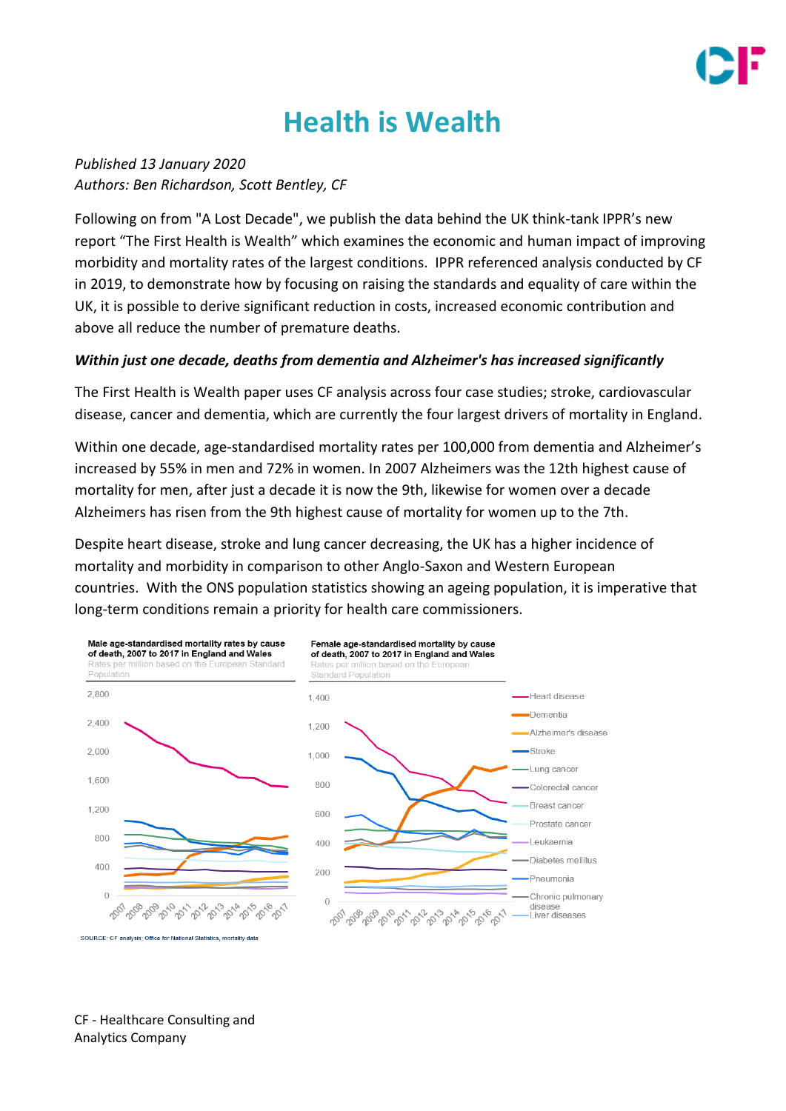

# **Health is Wealth**

*Published 13 January 2020 Authors: Ben Richardson, Scott Bentley, CF*

Following on from "A Lost Decade", we publish the data behind the UK think-tank IPPR's new report "The First Health is Wealth" which examines the economic and human impact of improving morbidity and mortality rates of the largest conditions. IPPR referenced analysis conducted by CF in 2019, to demonstrate how by focusing on raising the standards and equality of care within the UK, it is possible to derive significant reduction in costs, increased economic contribution and above all reduce the number of premature deaths.

#### *Within just one decade, deaths from dementia and Alzheimer's has increased significantly*

The First Health is Wealth paper uses CF analysis across four case studies; stroke, cardiovascular disease, cancer and dementia, which are currently the four largest drivers of mortality in England.

Within one decade, age-standardised mortality rates per 100,000 from dementia and Alzheimer's increased by 55% in men and 72% in women. In 2007 Alzheimers was the 12th highest cause of mortality for men, after just a decade it is now the 9th, likewise for women over a decade Alzheimers has risen from the 9th highest cause of mortality for women up to the 7th.

Despite heart disease, stroke and lung cancer decreasing, the UK has a higher incidence of mortality and morbidity in comparison to other Anglo-Saxon and Western European countries. With the ONS population statistics showing an ageing population, it is imperative that long-term conditions remain a priority for health care commissioners.



CF - Healthcare Consulting and Analytics Company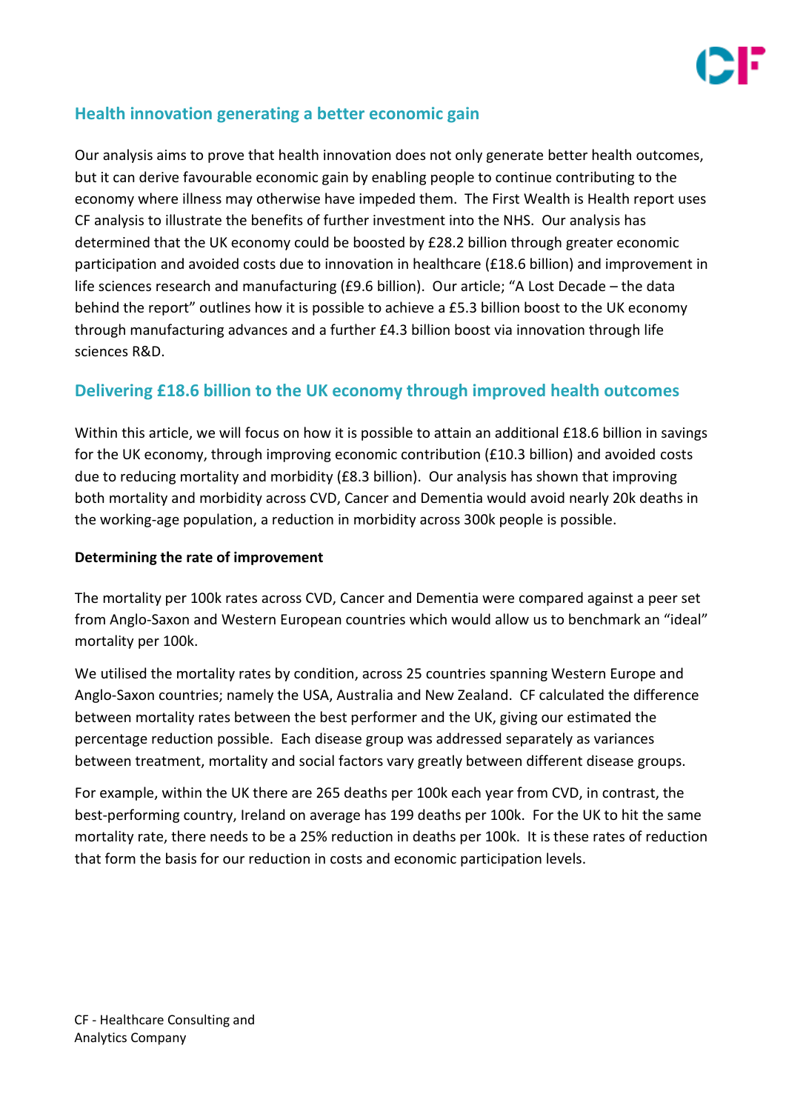

## **Health innovation generating a better economic gain**

Our analysis aims to prove that health innovation does not only generate better health outcomes, but it can derive favourable economic gain by enabling people to continue contributing to the economy where illness may otherwise have impeded them. The First Wealth is Health report uses CF analysis to illustrate the benefits of further investment into the NHS. Our analysis has determined that the UK economy could be boosted by £28.2 billion through greater economic participation and avoided costs due to innovation in healthcare (£18.6 billion) and improvement in life sciences research and manufacturing (£9.6 billion). Our article; "A Lost Decade – the data behind the report" outlines how it is possible to achieve a £5.3 billion boost to the UK economy through manufacturing advances and a further £4.3 billion boost via innovation through life sciences R&D.

## **Delivering £18.6 billion to the UK economy through improved health outcomes**

Within this article, we will focus on how it is possible to attain an additional £18.6 billion in savings for the UK economy, through improving economic contribution (£10.3 billion) and avoided costs due to reducing mortality and morbidity (£8.3 billion). Our analysis has shown that improving both mortality and morbidity across CVD, Cancer and Dementia would avoid nearly 20k deaths in the working-age population, a reduction in morbidity across 300k people is possible.

#### **Determining the rate of improvement**

The mortality per 100k rates across CVD, Cancer and Dementia were compared against a peer set from Anglo-Saxon and Western European countries which would allow us to benchmark an "ideal" mortality per 100k.

We utilised the mortality rates by condition, across 25 countries spanning Western Europe and Anglo-Saxon countries; namely the USA, Australia and New Zealand. CF calculated the difference between mortality rates between the best performer and the UK, giving our estimated the percentage reduction possible. Each disease group was addressed separately as variances between treatment, mortality and social factors vary greatly between different disease groups.

For example, within the UK there are 265 deaths per 100k each year from CVD, in contrast, the best-performing country, Ireland on average has 199 deaths per 100k. For the UK to hit the same mortality rate, there needs to be a 25% reduction in deaths per 100k. It is these rates of reduction that form the basis for our reduction in costs and economic participation levels.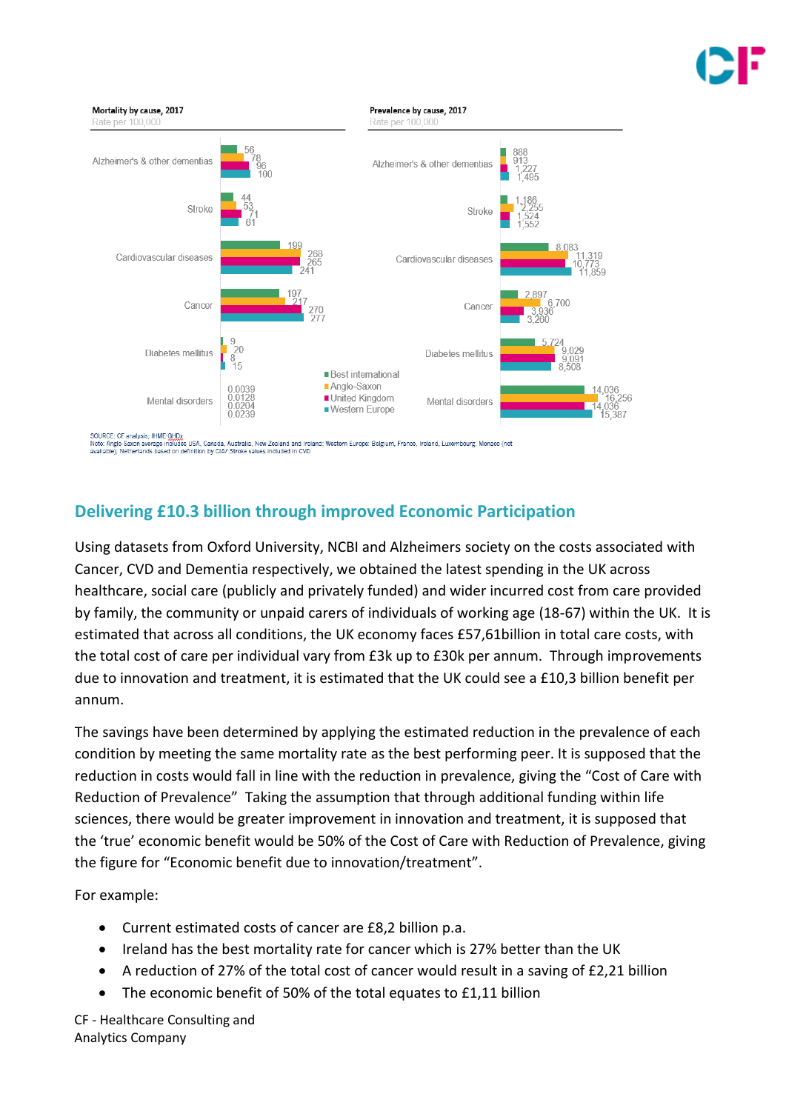

**Delivering £10.3 billion through improved Economic Participation**

Using datasets from Oxford University, NCBI and Alzheimers society on the costs associated with Cancer, CVD and Dementia respectively, we obtained the latest spending in the UK across healthcare, social care (publicly and privately funded) and wider incurred cost from care provided by family, the community or unpaid carers of individuals of working age (18-67) within the UK. It is estimated that across all conditions, the UK economy faces £57,61billion in total care costs, with the total cost of care per individual vary from £3k up to £30k per annum. Through improvements due to innovation and treatment, it is estimated that the UK could see a £10,3 billion benefit per annum.

The savings have been determined by applying the estimated reduction in the prevalence of each condition by meeting the same mortality rate as the best performing peer. It is supposed that the reduction in costs would fall in line with the reduction in prevalence, giving the "Cost of Care with Reduction of Prevalence" Taking the assumption that through additional funding within life sciences, there would be greater improvement in innovation and treatment, it is supposed that the 'true' economic benefit would be 50% of the Cost of Care with Reduction of Prevalence, giving the figure for "Economic benefit due to innovation/treatment".

For example:

- Current estimated costs of cancer are £8,2 billion p.a.
- Ireland has the best mortality rate for cancer which is 27% better than the UK
- A reduction of 27% of the total cost of cancer would result in a saving of £2,21 billion
- The economic benefit of 50% of the total equates to £1,11 billion

CF - Healthcare Consulting and Analytics Company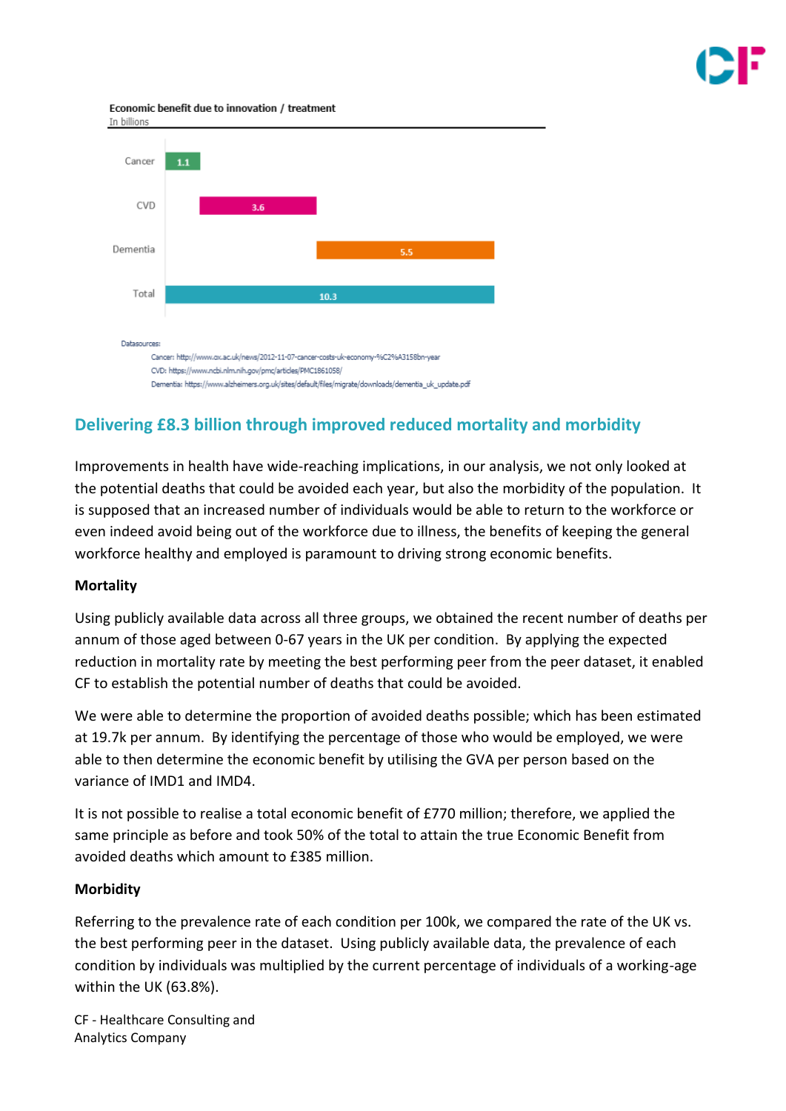Economic benefit due to innovation / treatment



# **Delivering £8.3 billion through improved reduced mortality and morbidity**

Improvements in health have wide-reaching implications, in our analysis, we not only looked at the potential deaths that could be avoided each year, but also the morbidity of the population. It is supposed that an increased number of individuals would be able to return to the workforce or even indeed avoid being out of the workforce due to illness, the benefits of keeping the general workforce healthy and employed is paramount to driving strong economic benefits.

#### **Mortality**

Using publicly available data across all three groups, we obtained the recent number of deaths per annum of those aged between 0-67 years in the UK per condition. By applying the expected reduction in mortality rate by meeting the best performing peer from the peer dataset, it enabled CF to establish the potential number of deaths that could be avoided.

We were able to determine the proportion of avoided deaths possible; which has been estimated at 19.7k per annum. By identifying the percentage of those who would be employed, we were able to then determine the economic benefit by utilising the GVA per person based on the variance of IMD1 and IMD4.

It is not possible to realise a total economic benefit of £770 million; therefore, we applied the same principle as before and took 50% of the total to attain the true Economic Benefit from avoided deaths which amount to £385 million.

### **Morbidity**

Referring to the prevalence rate of each condition per 100k, we compared the rate of the UK vs. the best performing peer in the dataset. Using publicly available data, the prevalence of each condition by individuals was multiplied by the current percentage of individuals of a working-age within the UK (63.8%).

CF - Healthcare Consulting and Analytics Company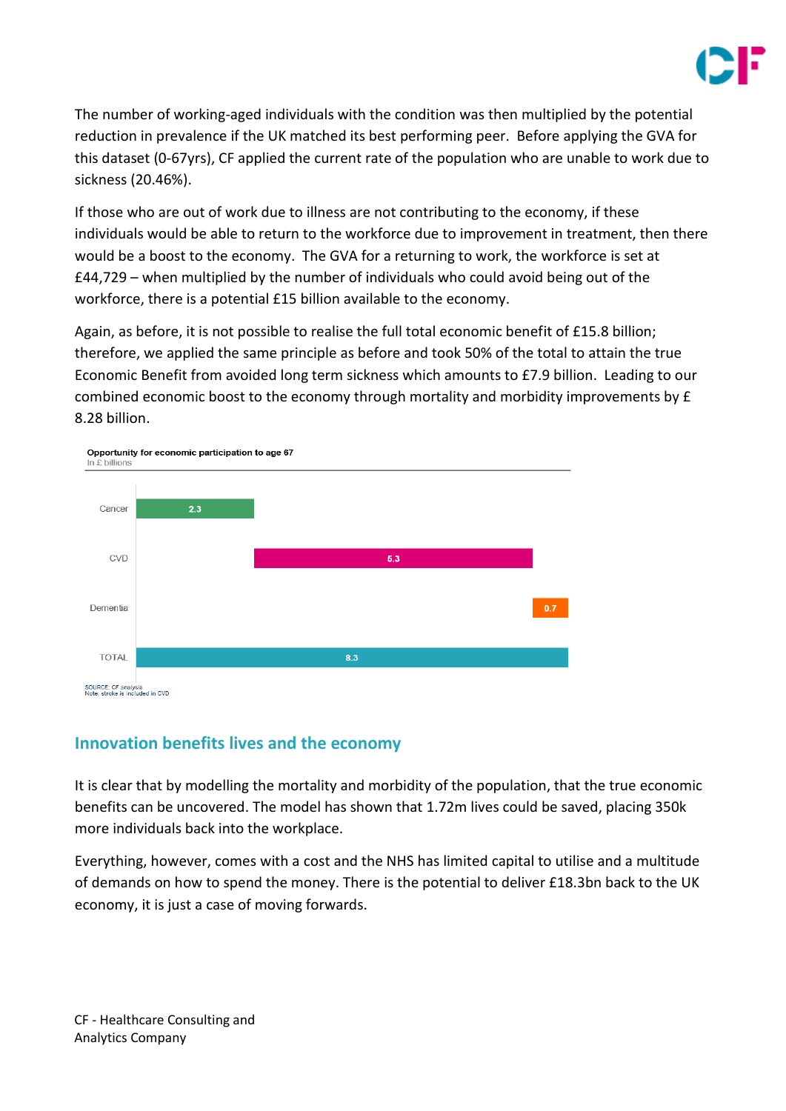

The number of working-aged individuals with the condition was then multiplied by the potential reduction in prevalence if the UK matched its best performing peer. Before applying the GVA for this dataset (0-67yrs), CF applied the current rate of the population who are unable to work due to sickness (20.46%).

If those who are out of work due to illness are not contributing to the economy, if these individuals would be able to return to the workforce due to improvement in treatment, then there would be a boost to the economy. The GVA for a returning to work, the workforce is set at £44,729 – when multiplied by the number of individuals who could avoid being out of the workforce, there is a potential £15 billion available to the economy.

Again, as before, it is not possible to realise the full total economic benefit of £15.8 billion; therefore, we applied the same principle as before and took 50% of the total to attain the true Economic Benefit from avoided long term sickness which amounts to £7.9 billion. Leading to our combined economic boost to the economy through mortality and morbidity improvements by £ 8.28 billion.



### **Innovation benefits lives and the economy**

It is clear that by modelling the mortality and morbidity of the population, that the true economic benefits can be uncovered. The model has shown that 1.72m lives could be saved, placing 350k more individuals back into the workplace.

Everything, however, comes with a cost and the NHS has limited capital to utilise and a multitude of demands on how to spend the money. There is the potential to deliver £18.3bn back to the UK economy, it is just a case of moving forwards.